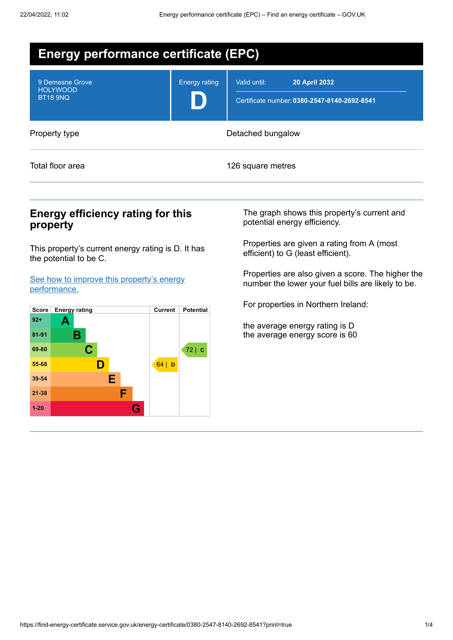| <b>Energy performance certificate (EPC)</b>           |                      |                                                                                      |  |
|-------------------------------------------------------|----------------------|--------------------------------------------------------------------------------------|--|
| 9 Demesne Grove<br><b>HOLYWOOD</b><br><b>BT18 9NQ</b> | <b>Energy rating</b> | Valid until:<br><b>20 April 2032</b><br>Certificate number: 0380-2547-8140-2692-8541 |  |
| Property type                                         | Detached bungalow    |                                                                                      |  |
| Total floor area                                      |                      | 126 square metres                                                                    |  |

## **Energy efficiency rating for this property**

This property's current energy rating is D. It has the potential to be C.

See how to improve this property's energy [performance.](#page-2-0)



The graph shows this property's current and potential energy efficiency.

Properties are given a rating from A (most efficient) to G (least efficient).

Properties are also given a score. The higher the number the lower your fuel bills are likely to be.

For properties in Northern Ireland:

the average energy rating is D the average energy score is 60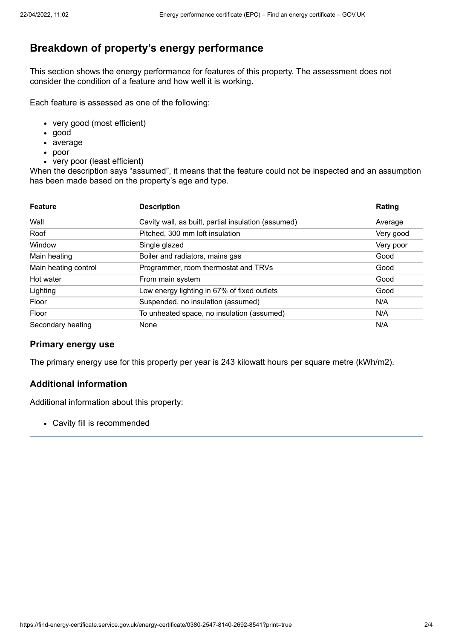# **Breakdown of property's energy performance**

This section shows the energy performance for features of this property. The assessment does not consider the condition of a feature and how well it is working.

Each feature is assessed as one of the following:

- very good (most efficient)
- good
- average
- poor
- very poor (least efficient)

When the description says "assumed", it means that the feature could not be inspected and an assumption has been made based on the property's age and type.

| <b>Feature</b>       | <b>Description</b>                                  | Rating    |
|----------------------|-----------------------------------------------------|-----------|
| Wall                 | Cavity wall, as built, partial insulation (assumed) | Average   |
| Roof                 | Pitched, 300 mm loft insulation                     | Very good |
| Window               | Single glazed                                       | Very poor |
| Main heating         | Boiler and radiators, mains gas                     | Good      |
| Main heating control | Programmer, room thermostat and TRVs                | Good      |
| Hot water            | From main system                                    | Good      |
| Lighting             | Low energy lighting in 67% of fixed outlets         | Good      |
| Floor                | Suspended, no insulation (assumed)                  | N/A       |
| Floor                | To unheated space, no insulation (assumed)          | N/A       |
| Secondary heating    | None                                                | N/A       |

### **Primary energy use**

The primary energy use for this property per year is 243 kilowatt hours per square metre (kWh/m2).

### **Additional information**

Additional information about this property:

Cavity fill is recommended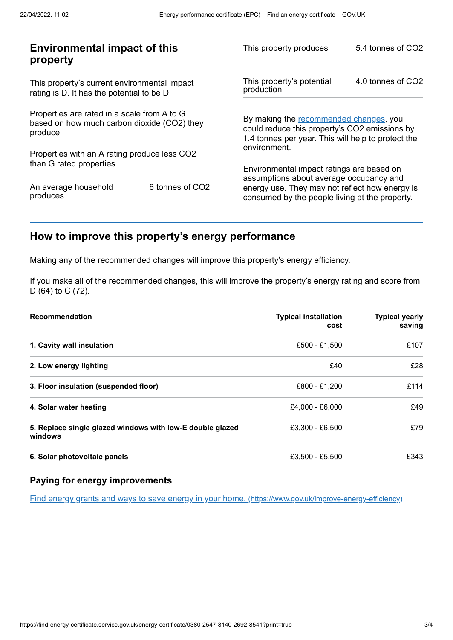| <b>Environmental impact of this</b><br>property                                                        |                             | This property produces                                                                                                                        | 5.4 tonnes of CO2 |
|--------------------------------------------------------------------------------------------------------|-----------------------------|-----------------------------------------------------------------------------------------------------------------------------------------------|-------------------|
| This property's current environmental impact<br>rating is D. It has the potential to be D.             |                             | This property's potential<br>production                                                                                                       | 4.0 tonnes of CO2 |
| Properties are rated in a scale from A to G<br>based on how much carbon dioxide (CO2) they<br>produce. |                             | By making the recommended changes, you<br>could reduce this property's CO2 emissions by<br>1.4 tonnes per year. This will help to protect the |                   |
| Properties with an A rating produce less CO2                                                           |                             | environment.                                                                                                                                  |                   |
| than G rated properties.                                                                               |                             | Environmental impact ratings are based on<br>assumptions about average occupancy and                                                          |                   |
| An average household<br>produces                                                                       | 6 tonnes of CO <sub>2</sub> | energy use. They may not reflect how energy is<br>consumed by the people living at the property.                                              |                   |
|                                                                                                        |                             |                                                                                                                                               |                   |

# <span id="page-2-0"></span>**How to improve this property's energy performance**

Making any of the recommended changes will improve this property's energy efficiency.

If you make all of the recommended changes, this will improve the property's energy rating and score from D (64) to C (72).

| <b>Recommendation</b>                                                | <b>Typical installation</b><br>cost | <b>Typical yearly</b><br>saving |
|----------------------------------------------------------------------|-------------------------------------|---------------------------------|
| 1. Cavity wall insulation                                            | £500 - £1,500                       | £107                            |
| 2. Low energy lighting                                               | £40                                 | £28                             |
| 3. Floor insulation (suspended floor)                                | £800 - £1,200                       | £114                            |
| 4. Solar water heating                                               | £4,000 - £6,000                     | £49                             |
| 5. Replace single glazed windows with low-E double glazed<br>windows | $£3,300 - £6,500$                   | £79                             |
| 6. Solar photovoltaic panels                                         | £3,500 - £5,500                     | £343                            |

### **Paying for energy improvements**

Find energy grants and ways to save energy in your home. [\(https://www.gov.uk/improve-energy-efficiency\)](https://www.gov.uk/improve-energy-efficiency)